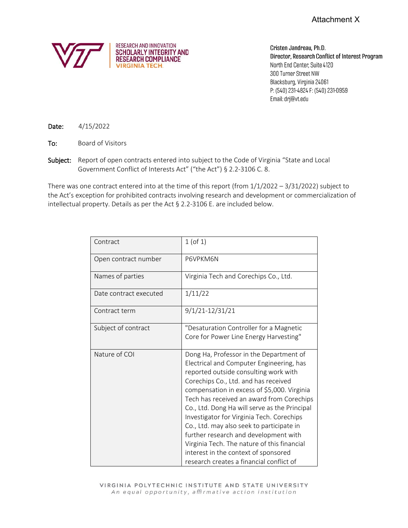

Cristen Jandreau, Ph.D. Director, Research Conflict of Interest Program North End Center, Suite 4120 300 Turner Street NW Blacksburg, Virginia 24061 P: (540) 231-4824 F: (540) 231-0959 Email: drj@vt.edu

Date: 4/15/2022

To: Board of Visitors

Subject: Report of open contracts entered into subject to the Code of Virginia "State and Local Government Conflict of Interests Act" ("the Act") § 2.2-3106 C. 8.

There was one contract entered into at the time of this report (from  $1/1/2022 - 3/31/2022$ ) subject to the Act's exception for prohibited contracts involving research and development or commercialization of intellectual property. Details as per the Act § 2.2-3106 E. are included below.

| Contract               | $1$ (of $1$ )                                                                                                                                                                                                                                                                                                                                                                                                                                                                                                                                                                           |
|------------------------|-----------------------------------------------------------------------------------------------------------------------------------------------------------------------------------------------------------------------------------------------------------------------------------------------------------------------------------------------------------------------------------------------------------------------------------------------------------------------------------------------------------------------------------------------------------------------------------------|
| Open contract number   | P6VPKM6N                                                                                                                                                                                                                                                                                                                                                                                                                                                                                                                                                                                |
| Names of parties       | Virginia Tech and Corechips Co., Ltd.                                                                                                                                                                                                                                                                                                                                                                                                                                                                                                                                                   |
| Date contract executed | 1/11/22                                                                                                                                                                                                                                                                                                                                                                                                                                                                                                                                                                                 |
| Contract term          | 9/1/21-12/31/21                                                                                                                                                                                                                                                                                                                                                                                                                                                                                                                                                                         |
| Subject of contract    | "Desaturation Controller for a Magnetic<br>Core for Power Line Energy Harvesting"                                                                                                                                                                                                                                                                                                                                                                                                                                                                                                       |
| Nature of COI          | Dong Ha, Professor in the Department of<br>Electrical and Computer Engineering, has<br>reported outside consulting work with<br>Corechips Co., Ltd. and has received<br>compensation in excess of \$5,000. Virginia<br>Tech has received an award from Corechips<br>Co., Ltd. Dong Ha will serve as the Principal<br>Investigator for Virginia Tech. Corechips<br>Co., Ltd. may also seek to participate in<br>further research and development with<br>Virginia Tech. The nature of this financial<br>interest in the context of sponsored<br>research creates a financial conflict of |